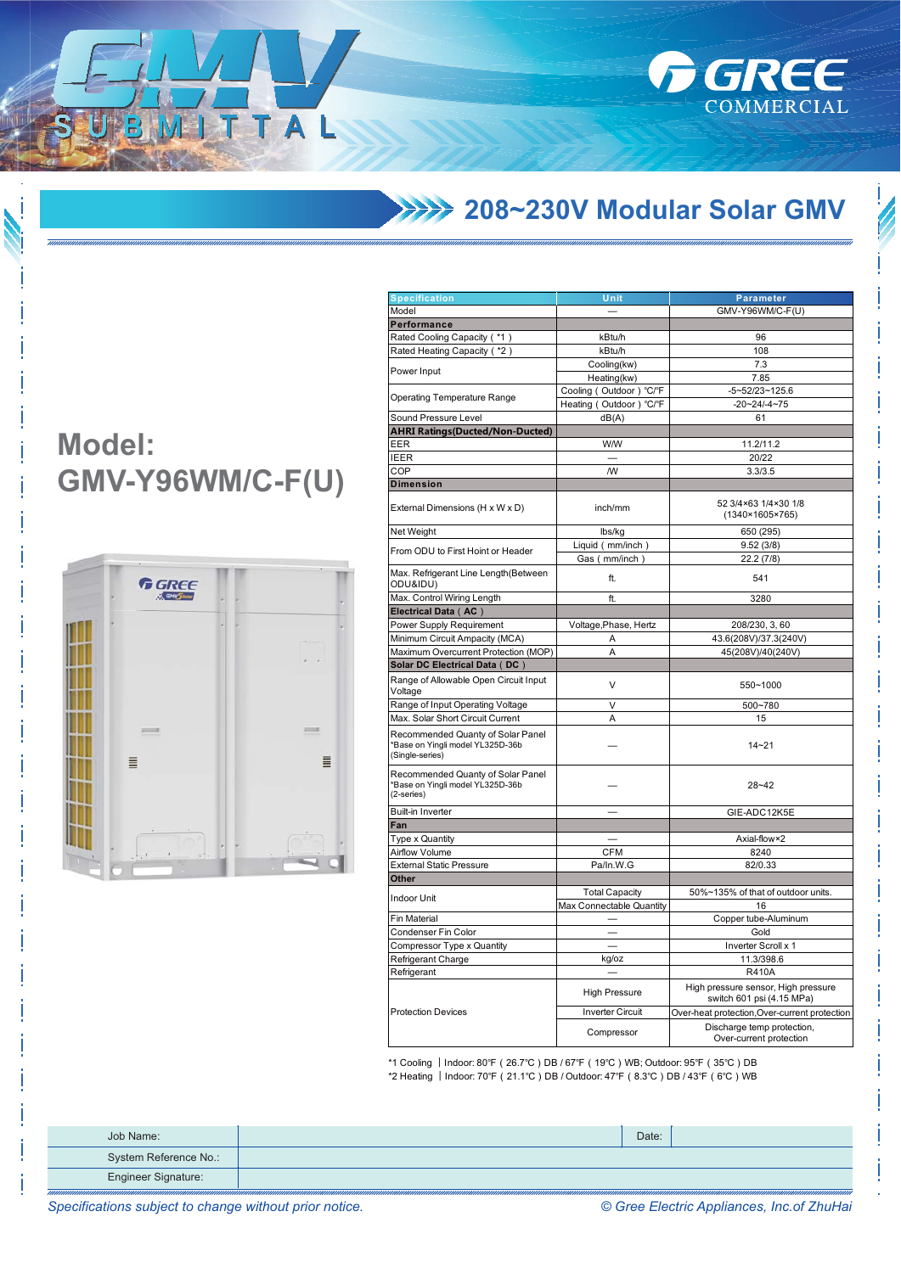

## **1999 - 208 - 230V Modular Solar GMV**

## **Model:** GMV-Y96WM/C-F(U)

ITTA



| Specification                                                                            | Unit                     | Parameter                                                                                                                                                                                                                                                                                                                                                                                                                                                |  |
|------------------------------------------------------------------------------------------|--------------------------|----------------------------------------------------------------------------------------------------------------------------------------------------------------------------------------------------------------------------------------------------------------------------------------------------------------------------------------------------------------------------------------------------------------------------------------------------------|--|
| Model                                                                                    |                          | GMV-Y96WM/C-F(U)                                                                                                                                                                                                                                                                                                                                                                                                                                         |  |
| Performance                                                                              |                          |                                                                                                                                                                                                                                                                                                                                                                                                                                                          |  |
| Rated Cooling Capacity ( *1)                                                             | kBtu/h                   | 96                                                                                                                                                                                                                                                                                                                                                                                                                                                       |  |
| Rated Heating Capacity ( *2)                                                             | kBtu/h                   |                                                                                                                                                                                                                                                                                                                                                                                                                                                          |  |
|                                                                                          | Cooling(kw)              |                                                                                                                                                                                                                                                                                                                                                                                                                                                          |  |
| Power Input                                                                              | Heating(kw)              |                                                                                                                                                                                                                                                                                                                                                                                                                                                          |  |
|                                                                                          | Cooling (Outdoor) °C/°F  |                                                                                                                                                                                                                                                                                                                                                                                                                                                          |  |
| <b>Operating Temperature Range</b>                                                       |                          | 108<br>7.3<br>7.85<br>$-5 - 52/23 - 125.6$<br>$-20 - 24 - 4 - 75$<br>61<br>11.2/11.2<br>20/22<br>3.3/3.5<br>52 3/4×63 1/4×30 1/8<br>(1340×1605×765)<br>650 (295)<br>9.52(3/8)<br>22.2 (7/8)<br>541<br>3280<br>208/230, 3, 60<br>43.6(208V)/37.3(240V)<br>45(208V)/40(240V)<br>550~1000<br>500~780<br>15<br>$14 - 21$<br>$28 - 42$<br>GIE-ADC12K5E<br>Axial-flow×2<br>8240<br>82/0.33<br>50%~135% of that of outdoor units.<br>16<br>Copper tube-Aluminum |  |
|                                                                                          | Heating (Outdoor) °C/°F  |                                                                                                                                                                                                                                                                                                                                                                                                                                                          |  |
| Sound Pressure Level                                                                     | dB(A)                    |                                                                                                                                                                                                                                                                                                                                                                                                                                                          |  |
| <b>AHRI Ratings(Ducted/Non-Ducted)</b>                                                   |                          |                                                                                                                                                                                                                                                                                                                                                                                                                                                          |  |
| EER                                                                                      | <b>W/W</b>               |                                                                                                                                                                                                                                                                                                                                                                                                                                                          |  |
| <b>IEER</b>                                                                              | $\overline{\phantom{0}}$ |                                                                                                                                                                                                                                                                                                                                                                                                                                                          |  |
| COP                                                                                      | <b>NV</b>                |                                                                                                                                                                                                                                                                                                                                                                                                                                                          |  |
| <b>Dimension</b>                                                                         |                          |                                                                                                                                                                                                                                                                                                                                                                                                                                                          |  |
| External Dimensions (H x W x D)                                                          | inch/mm                  |                                                                                                                                                                                                                                                                                                                                                                                                                                                          |  |
| Net Weight                                                                               | lbs/kg                   |                                                                                                                                                                                                                                                                                                                                                                                                                                                          |  |
|                                                                                          | Liquid (mm/inch)         |                                                                                                                                                                                                                                                                                                                                                                                                                                                          |  |
| From ODU to First Hoint or Header                                                        | Gas (mm/inch)            |                                                                                                                                                                                                                                                                                                                                                                                                                                                          |  |
| Max. Refrigerant Line Length (Between<br>ODU&IDU)                                        | ft.                      |                                                                                                                                                                                                                                                                                                                                                                                                                                                          |  |
| Max. Control Wiring Length                                                               | ft.                      |                                                                                                                                                                                                                                                                                                                                                                                                                                                          |  |
| Electrical Data (AC)                                                                     |                          |                                                                                                                                                                                                                                                                                                                                                                                                                                                          |  |
| Power Supply Requirement                                                                 | Voltage, Phase, Hertz    |                                                                                                                                                                                                                                                                                                                                                                                                                                                          |  |
| Minimum Circuit Ampacity (MCA)                                                           | Α                        |                                                                                                                                                                                                                                                                                                                                                                                                                                                          |  |
| Maximum Overcurrent Protection (MOP)                                                     | A                        |                                                                                                                                                                                                                                                                                                                                                                                                                                                          |  |
| Solar DC Electrical Data (DC)                                                            |                          |                                                                                                                                                                                                                                                                                                                                                                                                                                                          |  |
|                                                                                          |                          |                                                                                                                                                                                                                                                                                                                                                                                                                                                          |  |
| Range of Allowable Open Circuit Input<br>Voltage                                         | ٧                        |                                                                                                                                                                                                                                                                                                                                                                                                                                                          |  |
| Range of Input Operating Voltage                                                         | V                        |                                                                                                                                                                                                                                                                                                                                                                                                                                                          |  |
| Max. Solar Short Circuit Current                                                         | A                        |                                                                                                                                                                                                                                                                                                                                                                                                                                                          |  |
| Recommended Quanty of Solar Panel<br>*Base on Yingli model YL325D-36b<br>(Single-series) |                          |                                                                                                                                                                                                                                                                                                                                                                                                                                                          |  |
| Recommended Quanty of Solar Panel<br>Base on Yingli model YL325D-36b<br>(2-series)       |                          |                                                                                                                                                                                                                                                                                                                                                                                                                                                          |  |
| <b>Built-in Inverter</b>                                                                 |                          |                                                                                                                                                                                                                                                                                                                                                                                                                                                          |  |
| Fan                                                                                      |                          |                                                                                                                                                                                                                                                                                                                                                                                                                                                          |  |
| Type x Quantity                                                                          |                          |                                                                                                                                                                                                                                                                                                                                                                                                                                                          |  |
| <b>Airflow Volume</b>                                                                    | <b>CFM</b>               |                                                                                                                                                                                                                                                                                                                                                                                                                                                          |  |
| <b>External Static Pressure</b>                                                          | Pa/In.W.G                |                                                                                                                                                                                                                                                                                                                                                                                                                                                          |  |
| Other                                                                                    |                          |                                                                                                                                                                                                                                                                                                                                                                                                                                                          |  |
|                                                                                          | <b>Total Capacity</b>    |                                                                                                                                                                                                                                                                                                                                                                                                                                                          |  |
| <b>Indoor Unit</b>                                                                       | Max Connectable Quantity |                                                                                                                                                                                                                                                                                                                                                                                                                                                          |  |
| <b>Fin Material</b>                                                                      |                          |                                                                                                                                                                                                                                                                                                                                                                                                                                                          |  |
| Condenser Fin Color                                                                      | $\equiv$                 | Gold                                                                                                                                                                                                                                                                                                                                                                                                                                                     |  |
|                                                                                          |                          |                                                                                                                                                                                                                                                                                                                                                                                                                                                          |  |
| Compressor Type x Quantity                                                               |                          | Inverter Scroll x 1                                                                                                                                                                                                                                                                                                                                                                                                                                      |  |
| Refrigerant Charge                                                                       | kg/oz                    | 11.3/398.6                                                                                                                                                                                                                                                                                                                                                                                                                                               |  |
| Refrigerant                                                                              |                          | <b>R410A</b>                                                                                                                                                                                                                                                                                                                                                                                                                                             |  |
|                                                                                          | <b>High Pressure</b>     | High pressure sensor, High pressure<br>switch 601 psi (4.15 MPa)                                                                                                                                                                                                                                                                                                                                                                                         |  |
| <b>Protection Devices</b>                                                                | <b>Inverter Circuit</b>  | Over-heat protection, Over-current protection                                                                                                                                                                                                                                                                                                                                                                                                            |  |
|                                                                                          | Compressor               | Discharge temp protection,<br>Over-current protection                                                                                                                                                                                                                                                                                                                                                                                                    |  |
|                                                                                          |                          |                                                                                                                                                                                                                                                                                                                                                                                                                                                          |  |

\*1 Cooling | Indoor: 80°F (  $26.7^{\circ}$ C ) DB / 67°F (  $19^{\circ}$ C ) WB; Outdoor:  $95^{\circ}$ F (  $35^{\circ}$ C ) DB \*2 Heating | Indoor: 70°F (21.1°C) DB / Outdoor: 47°F (8.3°C) DB / 43°F (6°C) WB

| Job Name:                  | Date: |  |
|----------------------------|-------|--|
| System Reference No.:      |       |  |
| <b>Engineer Signature:</b> |       |  |

© Gree Electric Appliances, Inc.of ZhuHai